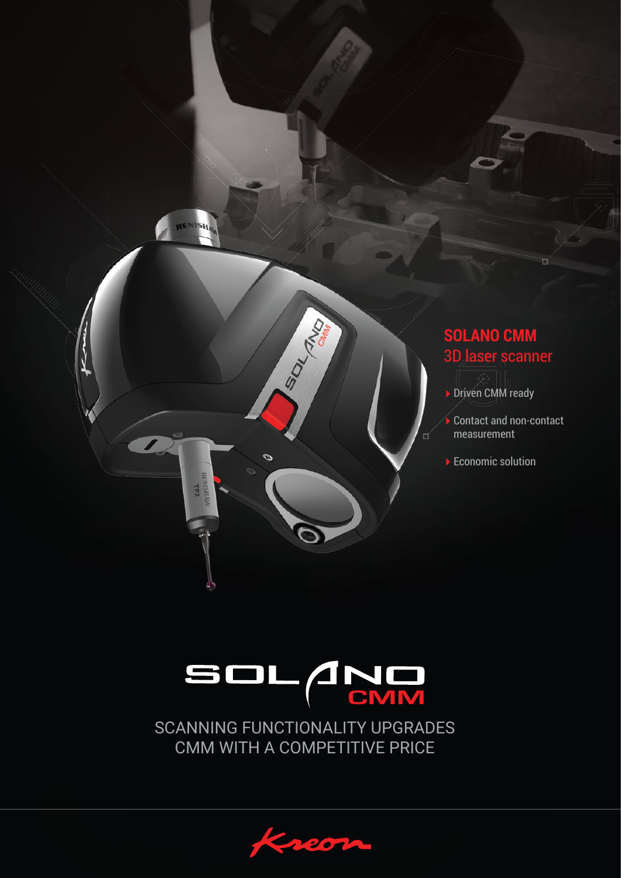



SCANNING FUNCTIONALITY UPGRADES CMM WITH A COMPETITIVE PRICE

 $\boldsymbol{\mathcal{D}}$